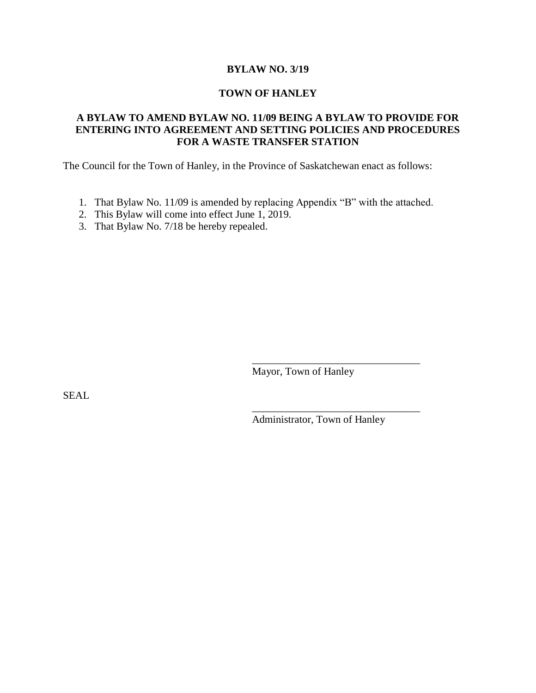### **BYLAW NO. 3/19**

#### **TOWN OF HANLEY**

## **A BYLAW TO AMEND BYLAW NO. 11/09 BEING A BYLAW TO PROVIDE FOR ENTERING INTO AGREEMENT AND SETTING POLICIES AND PROCEDURES FOR A WASTE TRANSFER STATION**

The Council for the Town of Hanley, in the Province of Saskatchewan enact as follows:

- 1. That Bylaw No. 11/09 is amended by replacing Appendix "B" with the attached.
- 2. This Bylaw will come into effect June 1, 2019.
- 3. That Bylaw No. 7/18 be hereby repealed.

Mayor, Town of Hanley

SEAL

Administrator, Town of Hanley

\_\_\_\_\_\_\_\_\_\_\_\_\_\_\_\_\_\_\_\_\_\_\_\_\_\_\_\_\_\_\_\_

\_\_\_\_\_\_\_\_\_\_\_\_\_\_\_\_\_\_\_\_\_\_\_\_\_\_\_\_\_\_\_\_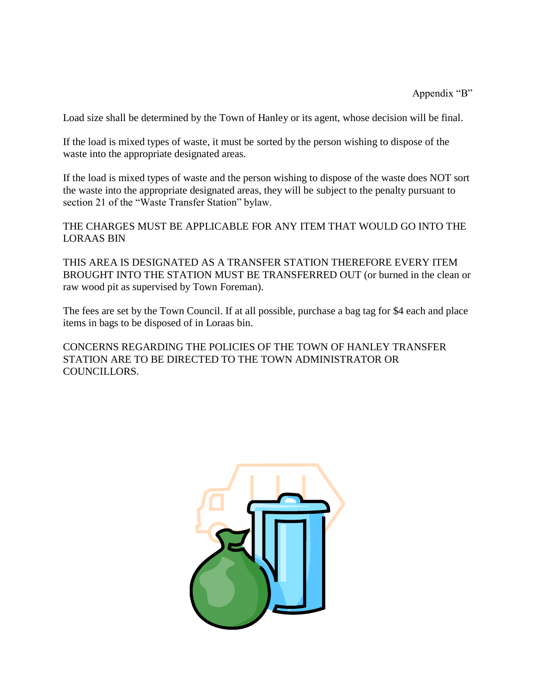Load size shall be determined by the Town of Hanley or its agent, whose decision will be final.

If the load is mixed types of waste, it must be sorted by the person wishing to dispose of the waste into the appropriate designated areas.

If the load is mixed types of waste and the person wishing to dispose of the waste does NOT sort the waste into the appropriate designated areas, they will be subject to the penalty pursuant to section 21 of the "Waste Transfer Station" bylaw.

THE CHARGES MUST BE APPLICABLE FOR ANY ITEM THAT WOULD GO INTO THE LORAAS BIN

THIS AREA IS DESIGNATED AS A TRANSFER STATION THEREFORE EVERY ITEM BROUGHT INTO THE STATION MUST BE TRANSFERRED OUT (or burned in the clean or raw wood pit as supervised by Town Foreman).

The fees are set by the Town Council. If at all possible, purchase a bag tag for \$4 each and place items in bags to be disposed of in Loraas bin.

CONCERNS REGARDING THE POLICIES OF THE TOWN OF HANLEY TRANSFER STATION ARE TO BE DIRECTED TO THE TOWN ADMINISTRATOR OR COUNCILLORS.